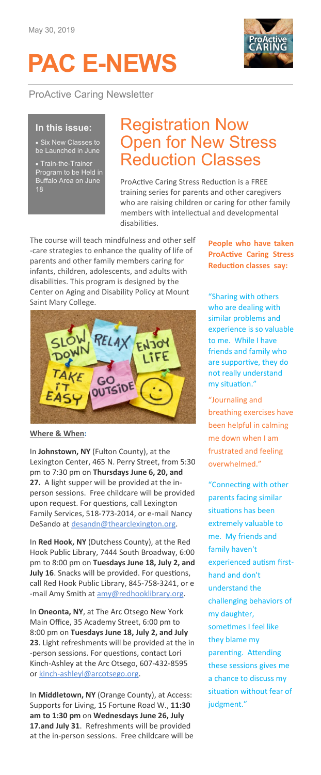# **PAC E-NEWS**

ProActive Caring Newsletter



#### **In this issue:**

• Six New Classes to be Launched in June

• Train-the-Trainer Program to be Held in Buffalo Area on June 18

### Registration Now Open for New Stress Reduction Classes

ProActive Caring Stress Reduction is a FREE training series for parents and other caregivers who are raising children or caring for other family members with intellectual and developmental disabilities.

The course will teach mindfulness and other self -care strategies to enhance the quality of life of parents and other family members caring for infants, children, adolescents, and adults with disabilities. This program is designed by the Center on Aging and Disability Policy at Mount Saint Mary College.



**Where & When:**

In **Johnstown, NY** (Fulton County), at the Lexington Center, 465 N. Perry Street, from 5:30 pm to 7:30 pm on **Thursdays June 6, 20, and 27.** A light supper will be provided at the inperson sessions. Free childcare will be provided upon request. For questions, call Lexington Family Services, 518-773-2014, or e-mail Nancy DeSando at [desandn@thearclexington.org.](mailto:desandn@thearclexington.org)

In **Red Hook, NY** (Dutchess County), at the Red Hook Public Library, 7444 South Broadway, 6:00 pm to 8:00 pm on **Tuesdays June 18, July 2, and July 16**. Snacks will be provided. For questions, call Red Hook Public Library, 845-758-3241, or e -mail Amy Smith at [amy@redhooklibrary.org.](mailto:amy@redhooklibrary.org)

In **Oneonta, NY**, at The Arc Otsego New York Main Office, 35 Academy Street, 6:00 pm to 8:00 pm on **Tuesdays June 18, July 2, and July 23**. Light refreshments will be provided at the in -person sessions. For questions, contact Lori Kinch-Ashley at the Arc Otsego, 607-432-8595 or kinch-[ashleyl@arcotsego.org.](mailto:kinch-ashleyl@arcotsego.org)

In **Middletown, NY** (Orange County), at Access: Supports for Living, 15 Fortune Road W., **11:30 am to 1:30 pm** on **Wednesdays June 26, July 17.and July 31**. Refreshments will be provided at the in-person sessions. Free childcare will be **People who have taken ProActive Caring Stress Reduction classes say:**

"Sharing with others who are dealing with similar problems and experience is so valuable to me. While I have friends and family who are supportive, they do not really understand my situation."

"Journaling and breathing exercises have been helpful in calming me down when I am frustrated and feeling overwhelmed."

"Connecting with other parents facing similar situations has been extremely valuable to me. My friends and family haven't experienced autism firsthand and don't understand the challenging behaviors of my daughter, sometimes I feel like they blame my parenting. Attending these sessions gives me a chance to discuss my situation without fear of judgment."